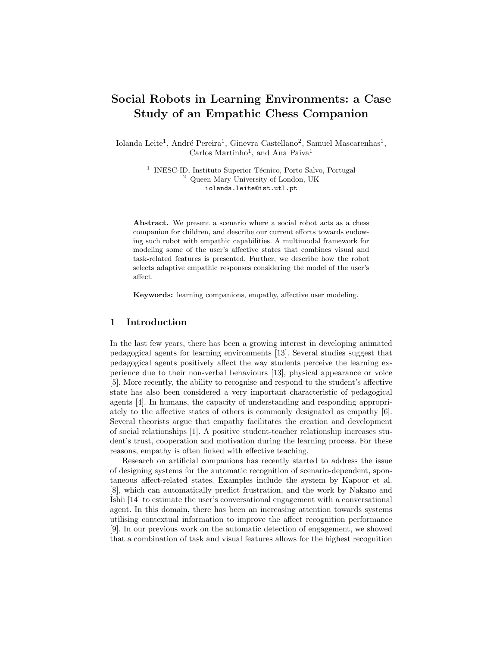# Social Robots in Learning Environments: a Case Study of an Empathic Chess Companion

Iolanda Leite<sup>1</sup>, André Pereira<sup>1</sup>, Ginevra Castellano<sup>2</sup>, Samuel Mascarenhas<sup>1</sup>, Carlos Martinho<sup>1</sup>, and Ana Paiva<sup>1</sup>

> <sup>1</sup> INESC-ID, Instituto Superior Técnico, Porto Salvo, Portugal <sup>2</sup> Queen Mary University of London, UK iolanda.leite@ist.utl.pt

Abstract. We present a scenario where a social robot acts as a chess companion for children, and describe our current efforts towards endowing such robot with empathic capabilities. A multimodal framework for modeling some of the user's affective states that combines visual and task-related features is presented. Further, we describe how the robot selects adaptive empathic responses considering the model of the user's affect.

Keywords: learning companions, empathy, affective user modeling.

## 1 Introduction

In the last few years, there has been a growing interest in developing animated pedagogical agents for learning environments [13]. Several studies suggest that pedagogical agents positively affect the way students perceive the learning experience due to their non-verbal behaviours [13], physical appearance or voice [5]. More recently, the ability to recognise and respond to the student's affective state has also been considered a very important characteristic of pedagogical agents [4]. In humans, the capacity of understanding and responding appropriately to the affective states of others is commonly designated as empathy [6]. Several theorists argue that empathy facilitates the creation and development of social relationships [1]. A positive student-teacher relationship increases student's trust, cooperation and motivation during the learning process. For these reasons, empathy is often linked with effective teaching.

Research on artificial companions has recently started to address the issue of designing systems for the automatic recognition of scenario-dependent, spontaneous affect-related states. Examples include the system by Kapoor et al. [8], which can automatically predict frustration, and the work by Nakano and Ishii [14] to estimate the user's conversational engagement with a conversational agent. In this domain, there has been an increasing attention towards systems utilising contextual information to improve the affect recognition performance [9]. In our previous work on the automatic detection of engagement, we showed that a combination of task and visual features allows for the highest recognition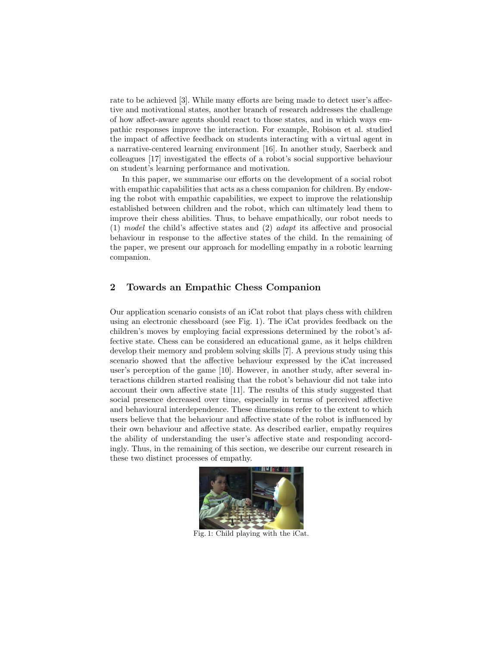rate to be achieved [3]. While many efforts are being made to detect user's affective and motivational states, another branch of research addresses the challenge of how affect-aware agents should react to those states, and in which ways empathic responses improve the interaction. For example, Robison et al. studied the impact of affective feedback on students interacting with a virtual agent in a narrative-centered learning environment [16]. In another study, Saerbeck and colleagues [17] investigated the effects of a robot's social supportive behaviour on student's learning performance and motivation.

In this paper, we summarise our efforts on the development of a social robot with empathic capabilities that acts as a chess companion for children. By endowing the robot with empathic capabilities, we expect to improve the relationship established between children and the robot, which can ultimately lead them to improve their chess abilities. Thus, to behave empathically, our robot needs to (1) model the child's affective states and (2) adapt its affective and prosocial behaviour in response to the affective states of the child. In the remaining of the paper, we present our approach for modelling empathy in a robotic learning companion.

# 2 Towards an Empathic Chess Companion

Our application scenario consists of an iCat robot that plays chess with children using an electronic chessboard (see Fig. 1). The iCat provides feedback on the children's moves by employing facial expressions determined by the robot's affective state. Chess can be considered an educational game, as it helps children develop their memory and problem solving skills [7]. A previous study using this scenario showed that the affective behaviour expressed by the iCat increased user's perception of the game [10]. However, in another study, after several interactions children started realising that the robot's behaviour did not take into account their own affective state [11]. The results of this study suggested that social presence decreased over time, especially in terms of perceived affective and behavioural interdependence. These dimensions refer to the extent to which users believe that the behaviour and affective state of the robot is influenced by their own behaviour and affective state. As described earlier, empathy requires the ability of understanding the user's affective state and responding accordingly. Thus, in the remaining of this section, we describe our current research in these two distinct processes of empathy.



Fig. 1: Child playing with the iCat.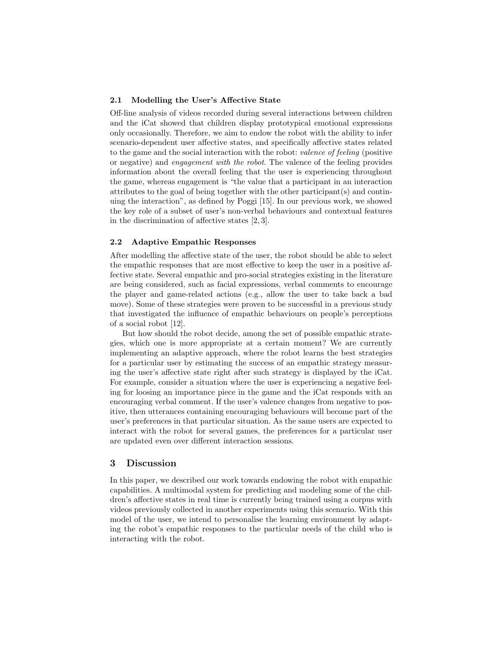#### 2.1 Modelling the User's Affective State

Off-line analysis of videos recorded during several interactions between children and the iCat showed that children display prototypical emotional expressions only occasionally. Therefore, we aim to endow the robot with the ability to infer scenario-dependent user affective states, and specifically affective states related to the game and the social interaction with the robot: valence of feeling (positive or negative) and engagement with the robot. The valence of the feeling provides information about the overall feeling that the user is experiencing throughout the game, whereas engagement is "the value that a participant in an interaction attributes to the goal of being together with the other participant(s) and continuing the interaction", as defined by Poggi [15]. In our previous work, we showed the key role of a subset of user's non-verbal behaviours and contextual features in the discrimination of affective states [2, 3].

# 2.2 Adaptive Empathic Responses

After modelling the affective state of the user, the robot should be able to select the empathic responses that are most effective to keep the user in a positive affective state. Several empathic and pro-social strategies existing in the literature are being considered, such as facial expressions, verbal comments to encourage the player and game-related actions (e.g., allow the user to take back a bad move). Some of these strategies were proven to be successful in a previous study that investigated the influence of empathic behaviours on people's perceptions of a social robot [12].

But how should the robot decide, among the set of possible empathic strategies, which one is more appropriate at a certain moment? We are currently implementing an adaptive approach, where the robot learns the best strategies for a particular user by estimating the success of an empathic strategy measuring the user's affective state right after such strategy is displayed by the iCat. For example, consider a situation where the user is experiencing a negative feeling for loosing an importance piece in the game and the iCat responds with an encouraging verbal comment. If the user's valence changes from negative to positive, then utterances containing encouraging behaviours will become part of the user's preferences in that particular situation. As the same users are expected to interact with the robot for several games, the preferences for a particular user are updated even over different interaction sessions.

## 3 Discussion

In this paper, we described our work towards endowing the robot with empathic capabilities. A multimodal system for predicting and modeling some of the children's affective states in real time is currently being trained using a corpus with videos previously collected in another experiments using this scenario. With this model of the user, we intend to personalise the learning environment by adapting the robot's empathic responses to the particular needs of the child who is interacting with the robot.